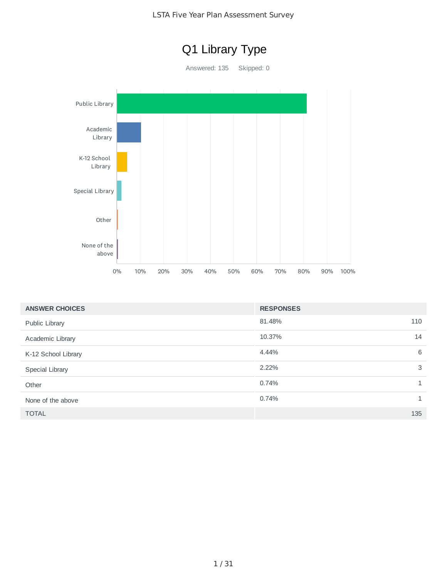

| <b>ANSWER CHOICES</b> | <b>RESPONSES</b> |     |
|-----------------------|------------------|-----|
| Public Library        | 81.48%           | 110 |
| Academic Library      | 10.37%           | 14  |
| K-12 School Library   | 4.44%            | 6   |
| Special Library       | 2.22%            | 3   |
| Other                 | 0.74%            | 1   |
| None of the above     | 0.74%            | 1   |
| <b>TOTAL</b>          |                  | 135 |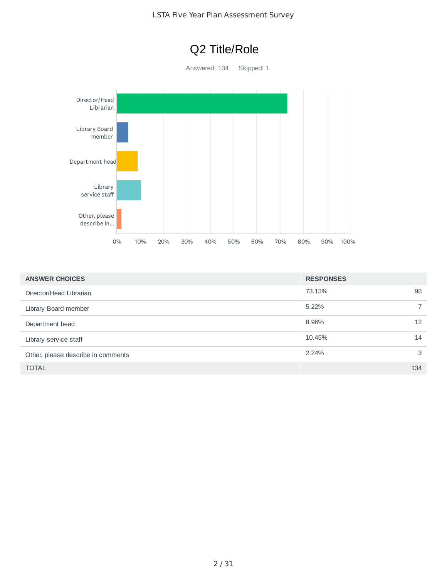

| <b>ANSWER CHOICES</b>              | <b>RESPONSES</b> |                |
|------------------------------------|------------------|----------------|
| Director/Head Librarian            | 73.13%           | 98             |
| Library Board member               | 5.22%            | $\overline{7}$ |
| Department head                    | 8.96%            | 12             |
| Library service staff              | 10.45%           | 14             |
| Other, please describe in comments | 2.24%            | 3              |
| <b>TOTAL</b>                       |                  | 134            |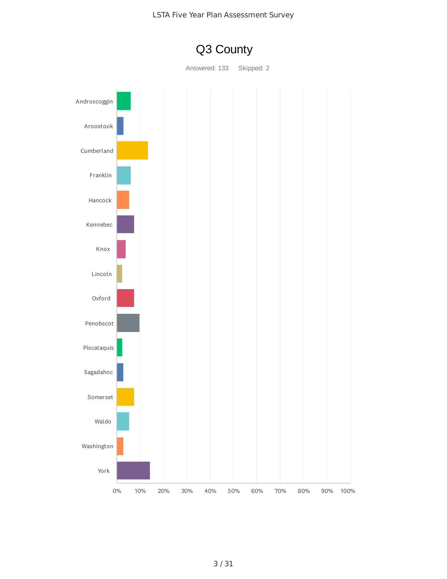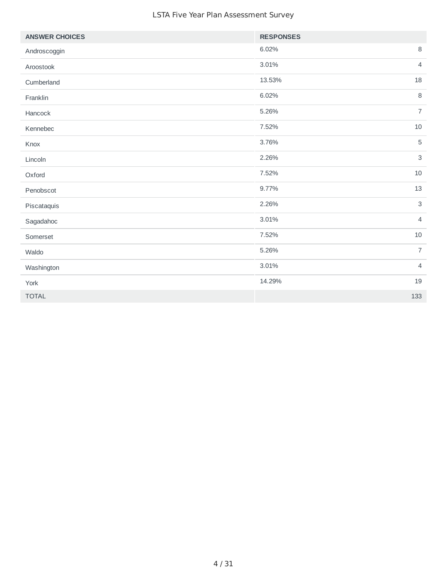| <b>ANSWER CHOICES</b> | <b>RESPONSES</b> |                           |
|-----------------------|------------------|---------------------------|
| Androscoggin          | 6.02%            | $\, 8$                    |
| Aroostook             | 3.01%            | $\sqrt{4}$                |
| Cumberland            | 13.53%           | 18                        |
| Franklin              | 6.02%            | 8                         |
| Hancock               | 5.26%            | $\overline{7}$            |
| Kennebec              | 7.52%            | 10                        |
| Knox                  | 3.76%            | $\mathbf 5$               |
| Lincoln               | 2.26%            | $\ensuremath{\mathsf{3}}$ |
| Oxford                | 7.52%            | 10                        |
| Penobscot             | 9.77%            | 13                        |
| Piscataquis           | 2.26%            | $\mathsf 3$               |
| Sagadahoc             | 3.01%            | $\overline{4}$            |
| Somerset              | 7.52%            | 10                        |
| Waldo                 | 5.26%            | $\overline{7}$            |
| Washington            | 3.01%            | $\overline{4}$            |
| York                  | 14.29%           | 19                        |
| <b>TOTAL</b>          |                  | 133                       |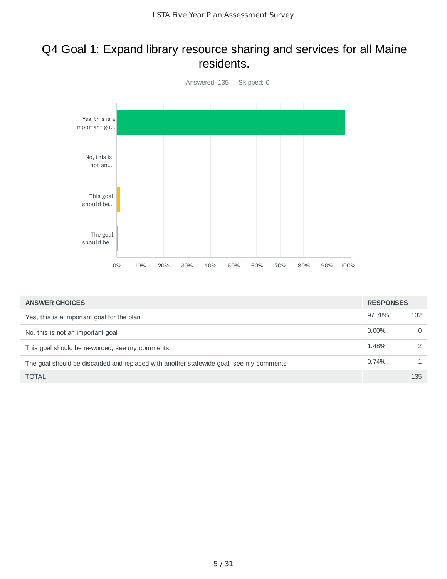#### Q4 Goal 1: Expand library resource sharing and services for all Maine residents.



| <b>ANSWER CHOICES</b>                                                                  | <b>RESPONSES</b> |          |
|----------------------------------------------------------------------------------------|------------------|----------|
| Yes, this is a important goal for the plan                                             | 97.78%           | 132      |
| No, this is not an important goal                                                      | $0.00\%$         | $\Omega$ |
| This goal should be re-worded, see my comments                                         | 1.48%            | 2        |
| The goal should be discarded and replaced with another statewide goal, see my comments | 0.74%            |          |
| <b>TOTAL</b>                                                                           |                  | 135      |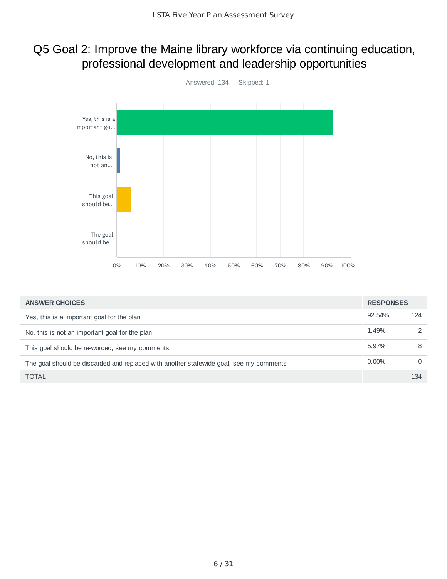### Q5 Goal 2: Improve the Maine library workforce via continuing education, professional development and leadership opportunities



| <b>ANSWER CHOICES</b>                                                                  | <b>RESPONSES</b> |               |
|----------------------------------------------------------------------------------------|------------------|---------------|
| Yes, this is a important goal for the plan                                             | 92.54%           | 124           |
| No, this is not an important goal for the plan                                         | 1.49%            | $\mathcal{L}$ |
| This goal should be re-worded, see my comments                                         | 5.97%            | 8             |
| The goal should be discarded and replaced with another statewide goal, see my comments | $0.00\%$         | $\Omega$      |
| <b>TOTAL</b>                                                                           |                  | 134           |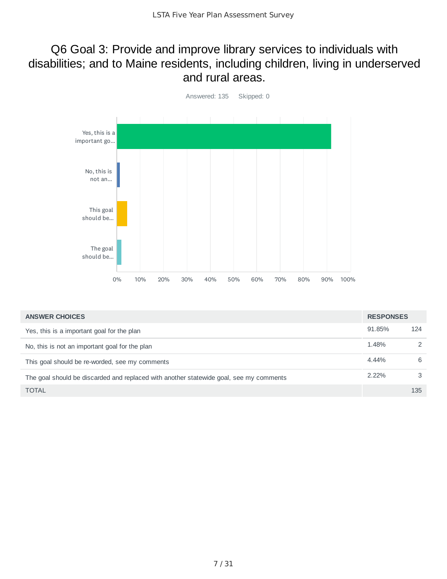#### Q6 Goal 3: Provide and improve library services to individuals with disabilities; and to Maine residents, including children, living in underserved and rural areas.



| <b>ANSWER CHOICES</b>                                                                  | <b>RESPONSES</b> |               |
|----------------------------------------------------------------------------------------|------------------|---------------|
| Yes, this is a important goal for the plan                                             | 91.85%           | 124           |
| No, this is not an important goal for the plan                                         | 1.48%            | $\mathcal{P}$ |
| This goal should be re-worded, see my comments                                         | 4.44%            | 6             |
| The goal should be discarded and replaced with another statewide goal, see my comments | 2.22%            | 3             |
| <b>TOTAL</b>                                                                           |                  | 135           |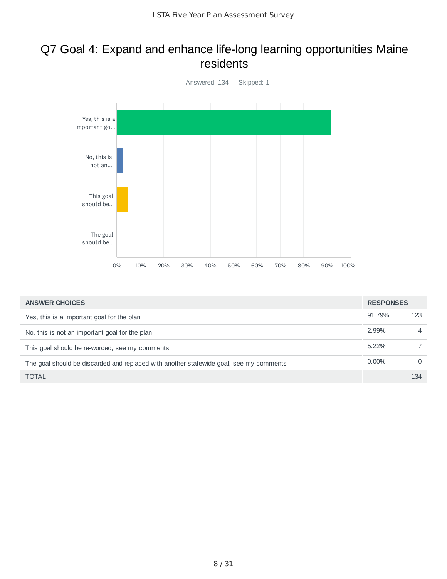#### Q7 Goal 4: Expand and enhance life‐long learning opportunities Maine residents



| <b>ANSWER CHOICES</b>                                                                  | <b>RESPONSES</b> |          |
|----------------------------------------------------------------------------------------|------------------|----------|
| Yes, this is a important goal for the plan                                             | 91.79%           | 123      |
| No, this is not an important goal for the plan                                         | 2.99%            | 4        |
| This goal should be re-worded, see my comments                                         | 5.22%            |          |
| The goal should be discarded and replaced with another statewide goal, see my comments | $0.00\%$         | $\Omega$ |
| <b>TOTAL</b>                                                                           |                  | 134      |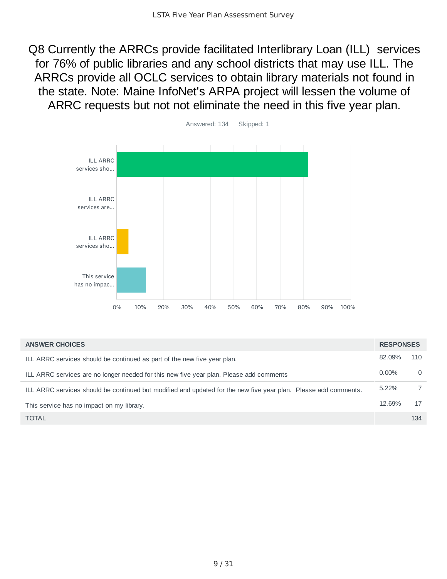Q8 Currently the ARRCs provide facilitated Interlibrary Loan (ILL) services for 76% of public libraries and any school districts that may use ILL. The ARRCs provide all OCLC services to obtain library materials not found in the state. Note: Maine InfoNet's ARPA project will lessen the volume of ARRC requests but not not eliminate the need in this five year plan.



| <b>ANSWER CHOICES</b>                                                                                           | <b>RESPONSES</b> |     |
|-----------------------------------------------------------------------------------------------------------------|------------------|-----|
| ILL ARRC services should be continued as part of the new five year plan.                                        | 82.09%           | 110 |
| ILL ARRC services are no longer needed for this new five year plan. Please add comments                         | $0.00\%$         | 0   |
| ILL ARRC services should be continued but modified and updated for the new five year plan. Please add comments. | 5.22%            |     |
| This service has no impact on my library.                                                                       | 12.69%           | 17  |
| <b>TOTAL</b>                                                                                                    |                  | 134 |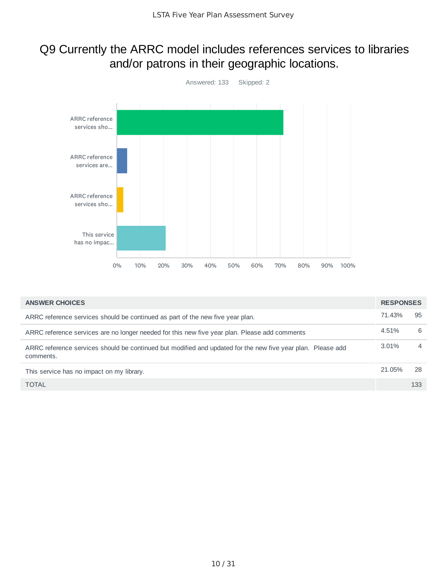### Q9 Currently the ARRC model includes references services to libraries and/or patrons in their geographic locations.



| <b>ANSWER CHOICES</b>                                                                                                    | <b>RESPONSES</b> |                |
|--------------------------------------------------------------------------------------------------------------------------|------------------|----------------|
| ARRC reference services should be continued as part of the new five year plan.                                           | 71.43%           | 95             |
| ARRC reference services are no longer needed for this new five year plan. Please add comments                            | 4.51%            | 6              |
| ARRC reference services should be continued but modified and updated for the new five year plan. Please add<br>comments. | 3.01%            | $\overline{4}$ |
| This service has no impact on my library.                                                                                | 21.05%           | 28             |
| <b>TOTAL</b>                                                                                                             |                  | 133            |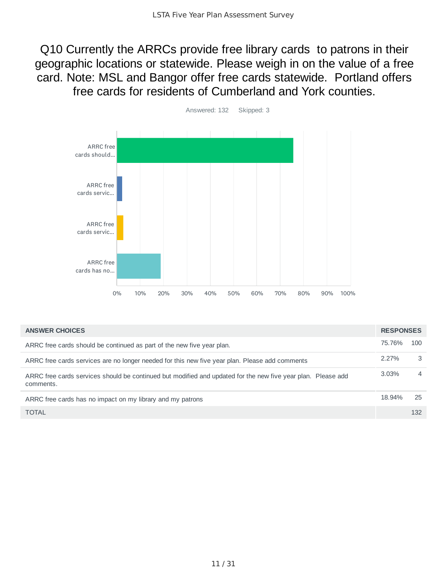Q10 Currently the ARRCs provide free library cards to patrons in their geographic locations or statewide. Please weigh in on the value of a free card. Note: MSL and Bangor offer free cards statewide. Portland offers free cards for residents of Cumberland and York counties.



| <b>ANSWER CHOICES</b>                                                                                                     | <b>RESPONSES</b> |                |
|---------------------------------------------------------------------------------------------------------------------------|------------------|----------------|
| ARRC free cards should be continued as part of the new five year plan.                                                    | 75.76%           | 100            |
| ARRC free cards services are no longer needed for this new five year plan. Please add comments                            | $2.27\%$         | 3              |
| ARRC free cards services should be continued but modified and updated for the new five year plan. Please add<br>comments. | 3.03%            | $\overline{4}$ |
| ARRC free cards has no impact on my library and my patrons                                                                | 18.94%           | 25             |
| <b>TOTAL</b>                                                                                                              |                  | 132            |

11 / 31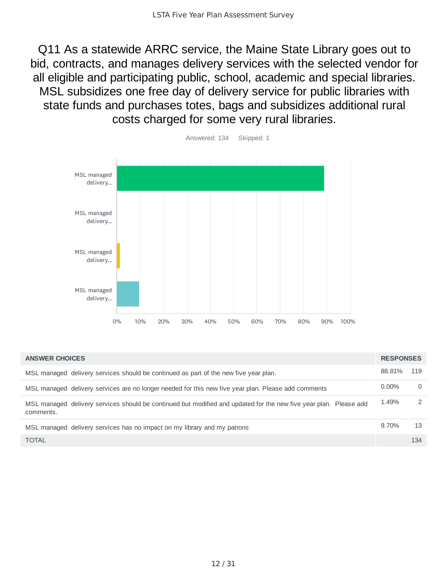Q11 As a statewide ARRC service, the Maine State Library goes out to bid, contracts, and manages delivery services with the selected vendor for all eligible and participating public, school, academic and special libraries. MSL subsidizes one free day of delivery service for public libraries with state funds and purchases totes, bags and subsidizes additional rural costs charged for some very rural libraries.



| <b>ANSWER CHOICES</b>                                                                                                          | <b>RESPONSES</b> |               |
|--------------------------------------------------------------------------------------------------------------------------------|------------------|---------------|
| MSL managed delivery services should be continued as part of the new five year plan.                                           | 88.81%           | 119           |
| MSL managed delivery services are no longer needed for this new five year plan. Please add comments                            | $0.00\%$         | $\Omega$      |
| MSL managed delivery services should be continued but modified and updated for the new five year plan. Please add<br>comments. | 1.49%            | $\mathcal{P}$ |
| MSL managed delivery services has no impact on my library and my patrons                                                       | 9.70%            | 13            |
| <b>TOTAL</b>                                                                                                                   |                  | 134           |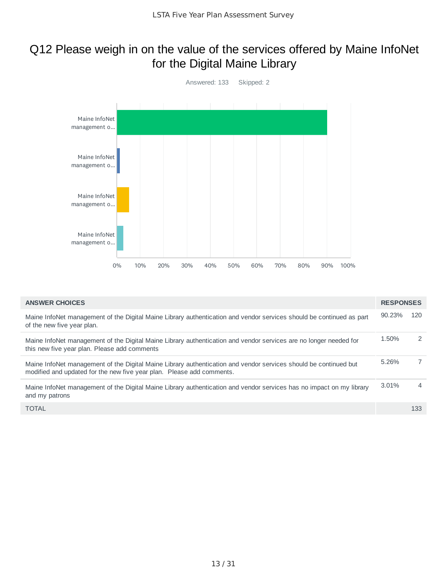### Q12 Please weigh in on the value of the services offered by Maine InfoNet for the Digital Maine Library



| <b>ANSWER CHOICES</b>                                                                                                                                                                     | <b>RESPONSES</b> |                |
|-------------------------------------------------------------------------------------------------------------------------------------------------------------------------------------------|------------------|----------------|
| Maine InfoNet management of the Digital Maine Library authentication and vendor services should be continued as part<br>of the new five year plan.                                        | 90.23%           | 120            |
| Maine InfoNet management of the Digital Maine Library authentication and vendor services are no longer needed for<br>this new five year plan. Please add comments                         | 1.50%            | 2              |
| Maine InfoNet management of the Digital Maine Library authentication and vendor services should be continued but<br>modified and updated for the new five year plan. Please add comments. | 5.26%            | $\overline{7}$ |
| Maine InfoNet management of the Digital Maine Library authentication and vendor services has no impact on my library<br>and my patrons                                                    | 3.01%            | $\overline{4}$ |
| <b>TOTAL</b>                                                                                                                                                                              |                  | 133            |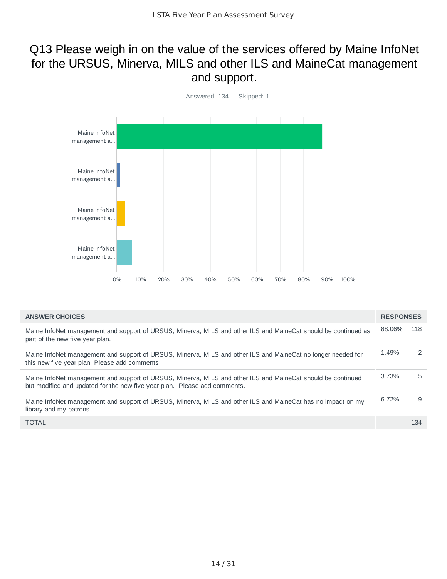### Q13 Please weigh in on the value of the services offered by Maine InfoNet for the URSUS, Minerva, MILS and other ILS and MaineCat management and support.



| <b>ANSWER CHOICES</b>                                                                                                                                                                    | <b>RESPONSES</b> |     |
|------------------------------------------------------------------------------------------------------------------------------------------------------------------------------------------|------------------|-----|
| Maine InfoNet management and support of URSUS, Minerva, MILS and other ILS and MaineCat should be continued as<br>part of the new five year plan.                                        | 88.06%           | 118 |
| Maine InfoNet management and support of URSUS, Minerva, MILS and other ILS and MaineCat no longer needed for<br>this new five year plan. Please add comments                             | 1.49%            | 2   |
| Maine InfoNet management and support of URSUS, Minerva, MILS and other ILS and MaineCat should be continued<br>but modified and updated for the new five year plan. Please add comments. | 3.73%            | 5   |
| Maine InfoNet management and support of URSUS, Minerva, MILS and other ILS and MaineCat has no impact on my<br>library and my patrons                                                    | 6.72%            | 9   |
| <b>TOTAL</b>                                                                                                                                                                             |                  | 134 |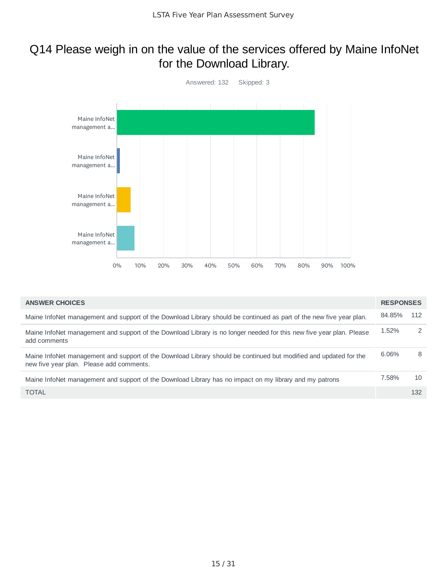### Q14 Please weigh in on the value of the services offered by Maine InfoNet for the Download Library.

![](_page_14_Figure_2.jpeg)

| <b>ANSWER CHOICES</b>                                                                                                                                         | <b>RESPONSES</b> |     |
|---------------------------------------------------------------------------------------------------------------------------------------------------------------|------------------|-----|
| Maine InfoNet management and support of the Download Library should be continued as part of the new five year plan.                                           | 84.85%           | 112 |
| Maine InfoNet management and support of the Download Library is no longer needed for this new five year plan. Please<br>add comments                          | 1.52%            | 2   |
| Maine InfoNet management and support of the Download Library should be continued but modified and updated for the<br>new five year plan. Please add comments. | 6.06%            | 8   |
| Maine InfoNet management and support of the Download Library has no impact on my library and my patrons                                                       | 7.58%            | 10  |
| <b>TOTAL</b>                                                                                                                                                  |                  | 132 |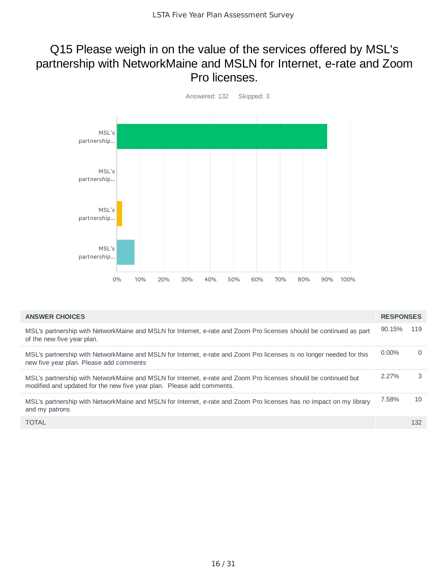#### Q15 Please weigh in on the value of the services offered by MSL's partnership with NetworkMaine and MSLN for Internet, e-rate and Zoom Pro licenses.

![](_page_15_Figure_2.jpeg)

| <b>ANSWER CHOICES</b>                                                                                                                                                                    | <b>RESPONSES</b> |          |
|------------------------------------------------------------------------------------------------------------------------------------------------------------------------------------------|------------------|----------|
| MSL's partnership with NetworkMaine and MSLN for Internet, e-rate and Zoom Pro licenses should be continued as part<br>of the new five year plan.                                        | 90.15%           | 119      |
| MSL's partnership with NetworkMaine and MSLN for Internet, e-rate and Zoom Pro licenses is no longer needed for this<br>new five year plan. Please add comments                          | $0.00\%$         | $\Omega$ |
| MSL's partnership with NetworkMaine and MSLN for Internet, e-rate and Zoom Pro licenses should be continued but<br>modified and updated for the new five year plan. Please add comments. | 2.27%            | 3        |
| MSL's partnership with NetworkMaine and MSLN for Internet, e-rate and Zoom Pro licenses has no impact on my library<br>and my patrons                                                    | 7.58%            | 10       |
| <b>TOTAL</b>                                                                                                                                                                             |                  | 132      |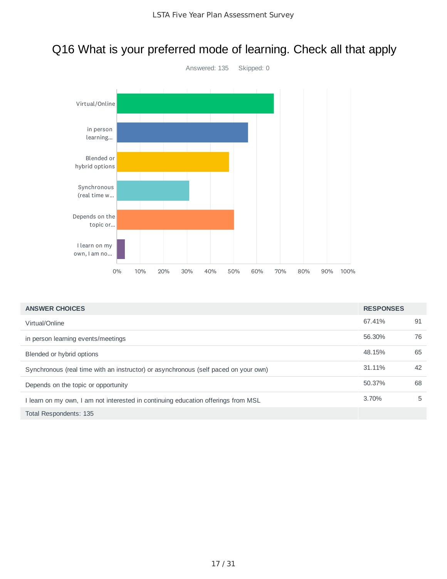### Q16 What is your preferred mode of learning. Check all that apply

![](_page_16_Figure_2.jpeg)

| <b>ANSWER CHOICES</b>                                                               | <b>RESPONSES</b> |    |
|-------------------------------------------------------------------------------------|------------------|----|
| Virtual/Online                                                                      | 67.41%           | 91 |
| in person learning events/meetings                                                  | 56.30%           | 76 |
| Blended or hybrid options                                                           | 48.15%           | 65 |
| Synchronous (real time with an instructor) or asynchronous (self paced on your own) | 31.11%           | 42 |
| Depends on the topic or opportunity                                                 | 50.37%           | 68 |
| I learn on my own, I am not interested in continuing education offerings from MSL   | $3.70\%$         | 5  |
| Total Respondents: 135                                                              |                  |    |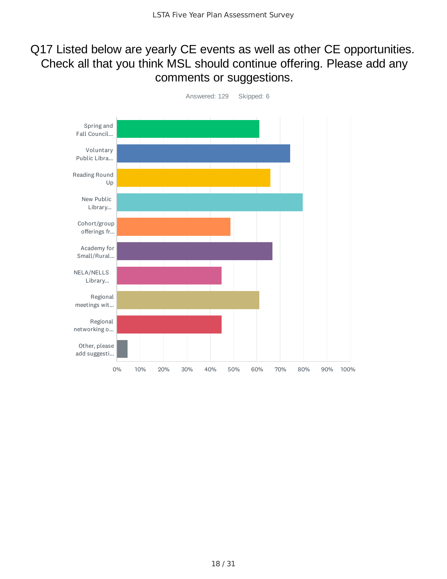### Q17 Listed below are yearly CE events as well as other CE opportunities. Check all that you think MSL should continue offering. Please add any comments or suggestions.

![](_page_17_Figure_2.jpeg)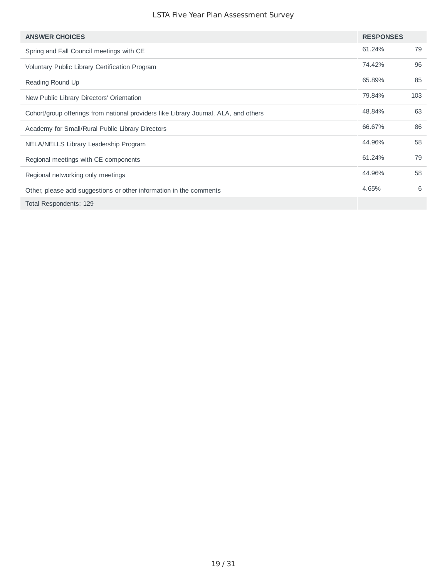| <b>ANSWER CHOICES</b>                                                                | <b>RESPONSES</b> |     |
|--------------------------------------------------------------------------------------|------------------|-----|
| Spring and Fall Council meetings with CE                                             | 61.24%           | 79  |
| Voluntary Public Library Certification Program                                       | 74.42%           | 96  |
| Reading Round Up                                                                     | 65.89%           | 85  |
| New Public Library Directors' Orientation                                            | 79.84%           | 103 |
| Cohort/group offerings from national providers like Library Journal, ALA, and others | 48.84%           | 63  |
| Academy for Small/Rural Public Library Directors                                     | 66.67%           | 86  |
| NELA/NELLS Library Leadership Program                                                | 44.96%           | 58  |
| Regional meetings with CE components                                                 | 61.24%           | 79  |
| Regional networking only meetings                                                    | 44.96%           | 58  |
| Other, please add suggestions or other information in the comments                   | 4.65%            | 6   |
| Total Respondents: 129                                                               |                  |     |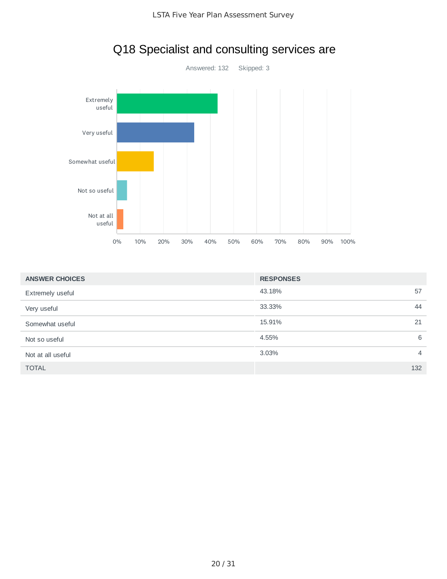![](_page_19_Figure_1.jpeg)

# Q18 Specialist and consulting services are

| <b>ANSWER CHOICES</b> | <b>RESPONSES</b>        |
|-----------------------|-------------------------|
| Extremely useful      | 43.18%<br>57            |
| Very useful           | 33.33%<br>44            |
| Somewhat useful       | 15.91%<br>21            |
| Not so useful         | 4.55%<br>6              |
| Not at all useful     | 3.03%<br>$\overline{4}$ |
| <b>TOTAL</b>          | 132                     |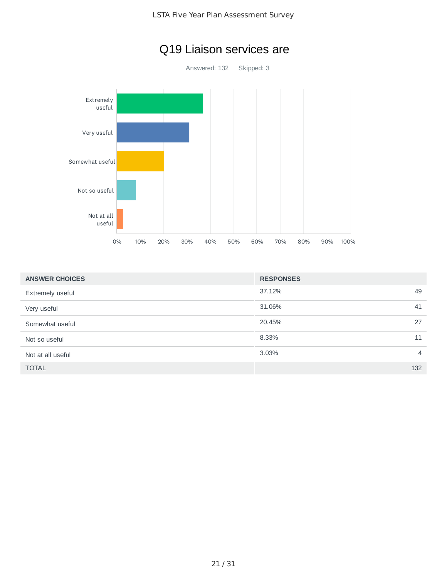![](_page_20_Figure_1.jpeg)

# Q19 Liaison services are

| <b>ANSWER CHOICES</b> | <b>RESPONSES</b> |                |
|-----------------------|------------------|----------------|
| Extremely useful      | 37.12%           | 49             |
| Very useful           | 31.06%           | 41             |
| Somewhat useful       | 20.45%           | 27             |
| Not so useful         | 8.33%            | 11             |
| Not at all useful     | 3.03%            | $\overline{4}$ |
| <b>TOTAL</b>          |                  | 132            |
|                       |                  |                |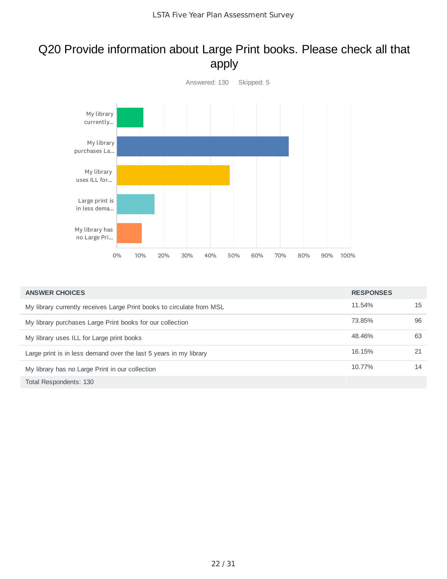### Q20 Provide information about Large Print books. Please check all that apply

![](_page_21_Figure_2.jpeg)

| <b>ANSWER CHOICES</b>                                                 | <b>RESPONSES</b> |    |
|-----------------------------------------------------------------------|------------------|----|
| My library currently receives Large Print books to circulate from MSL | 11.54%           | 15 |
| My library purchases Large Print books for our collection             | 73.85%           | 96 |
| My library uses ILL for Large print books                             | 48.46%           | 63 |
| Large print is in less demand over the last 5 years in my library     | 16.15%           | 21 |
| My library has no Large Print in our collection                       | 10.77%           | 14 |
| Total Respondents: 130                                                |                  |    |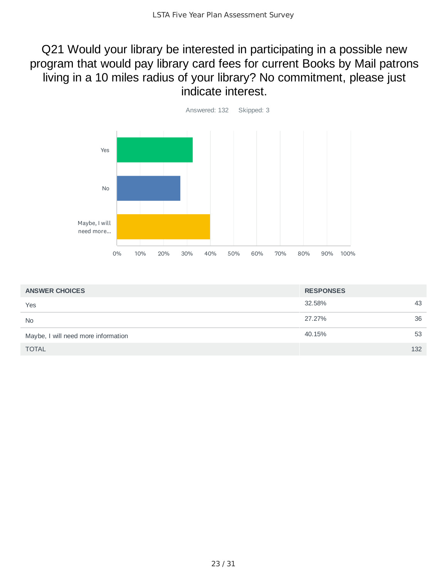Q21 Would your library be interested in participating in a possible new program that would pay library card fees for current Books by Mail patrons living in a 10 miles radius of your library? No commitment, please just indicate interest.

![](_page_22_Figure_2.jpeg)

| <b>ANSWER CHOICES</b>               | <b>RESPONSES</b> |     |
|-------------------------------------|------------------|-----|
| Yes                                 | 32.58%           | 43  |
| <b>No</b>                           | 27.27%           | 36  |
| Maybe, I will need more information | 40.15%           | 53  |
| <b>TOTAL</b>                        |                  | 132 |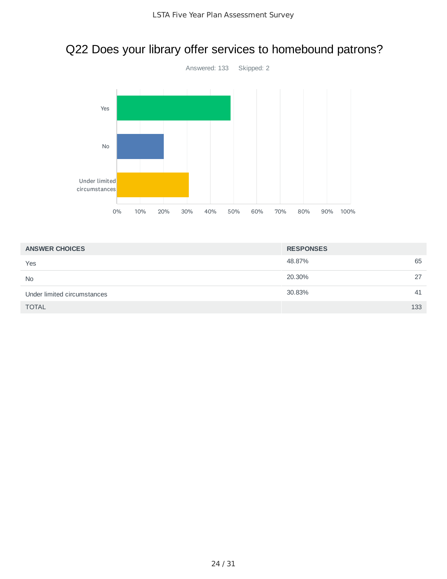# Q22 Does your library offer services to homebound patrons?

![](_page_23_Figure_2.jpeg)

| <b>ANSWER CHOICES</b>       | <b>RESPONSES</b> |     |
|-----------------------------|------------------|-----|
| Yes                         | 48.87%           | 65  |
| <b>No</b>                   | 20.30%           | 27  |
| Under limited circumstances | 30.83%           | 41  |
| <b>TOTAL</b>                |                  | 133 |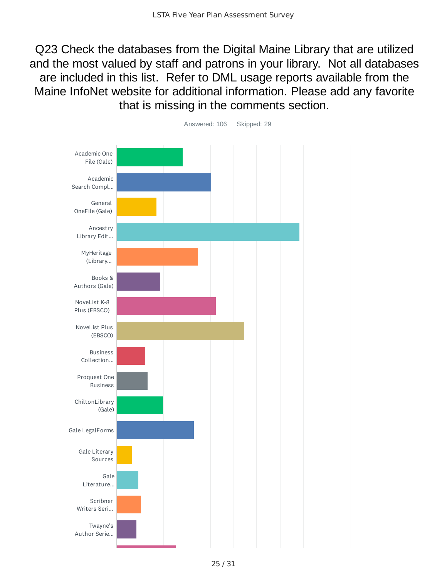Q23 Check the databases from the Digital Maine Library that are utilized and the most valued by staff and patrons in your library. Not all databases are included in this list. Refer to DML usage reports available from the Maine InfoNet website for additional information. Please add any favorite that is missing in the comments section.

![](_page_24_Figure_2.jpeg)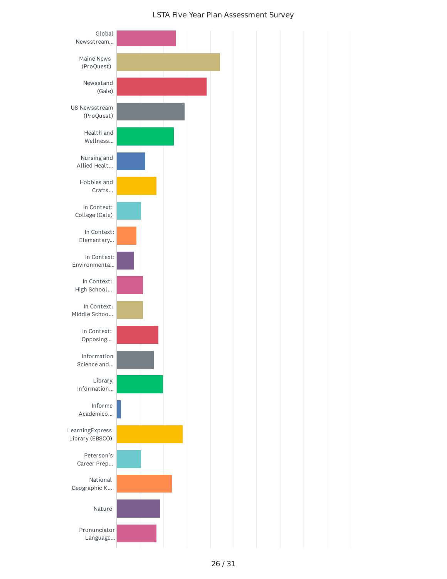![](_page_25_Figure_1.jpeg)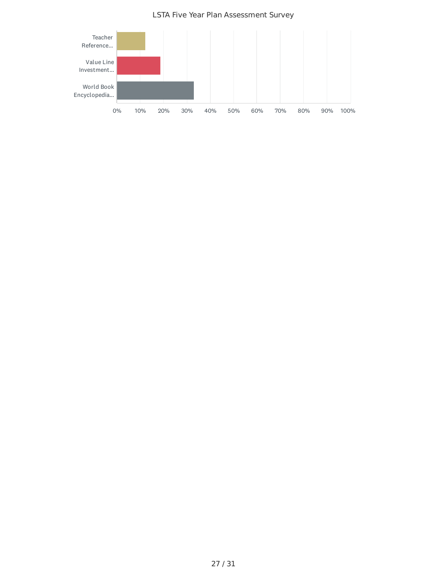![](_page_26_Figure_0.jpeg)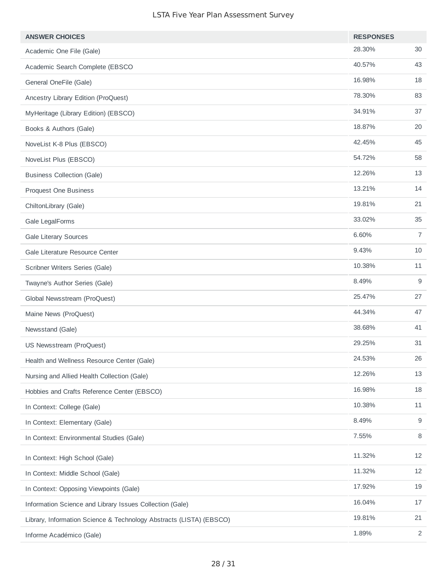| <b>ANSWER CHOICES</b>                                               | <b>RESPONSES</b> |        |
|---------------------------------------------------------------------|------------------|--------|
| Academic One File (Gale)                                            | 28.30%           | 30     |
| Academic Search Complete (EBSCO                                     | 40.57%           | 43     |
| General OneFile (Gale)                                              | 16.98%           | 18     |
| Ancestry Library Edition (ProQuest)                                 | 78.30%           | 83     |
| MyHeritage (Library Edition) (EBSCO)                                | 34.91%           | 37     |
| Books & Authors (Gale)                                              | 18.87%           | 20     |
| NoveList K-8 Plus (EBSCO)                                           | 42.45%           | 45     |
| NoveList Plus (EBSCO)                                               | 54.72%           | 58     |
| <b>Business Collection (Gale)</b>                                   | 12.26%           | 13     |
| Proquest One Business                                               | 13.21%           | 14     |
| ChiltonLibrary (Gale)                                               | 19.81%           | 21     |
| Gale LegalForms                                                     | 33.02%           | 35     |
| <b>Gale Literary Sources</b>                                        | 6.60%            | 7      |
| Gale Literature Resource Center                                     | 9.43%            | 10     |
| Scribner Writers Series (Gale)                                      | 10.38%           | 11     |
| Twayne's Author Series (Gale)                                       | 8.49%            | 9      |
| Global Newsstream (ProQuest)                                        | 25.47%           | 27     |
| Maine News (ProQuest)                                               | 44.34%           | 47     |
| Newsstand (Gale)                                                    | 38.68%           | 41     |
| US Newsstream (ProQuest)                                            | 29.25%           | 31     |
| Health and Wellness Resource Center (Gale)                          | 24.53%           | 26     |
| Nursing and Allied Health Collection (Gale)                         | 12.26%           | 13     |
| Hobbies and Crafts Reference Center (EBSCO)                         | 16.98%           | 18     |
| In Context: College (Gale)                                          | 10.38%           | $11\,$ |
| In Context: Elementary (Gale)                                       | 8.49%            | 9      |
| In Context: Environmental Studies (Gale)                            | 7.55%            | 8      |
| In Context: High School (Gale)                                      | 11.32%           | 12     |
| In Context: Middle School (Gale)                                    | 11.32%           | 12     |
| In Context: Opposing Viewpoints (Gale)                              | 17.92%           | 19     |
| Information Science and Library Issues Collection (Gale)            | 16.04%           | 17     |
| Library, Information Science & Technology Abstracts (LISTA) (EBSCO) | 19.81%           | 21     |
| Informe Académico (Gale)                                            | 1.89%            | 2      |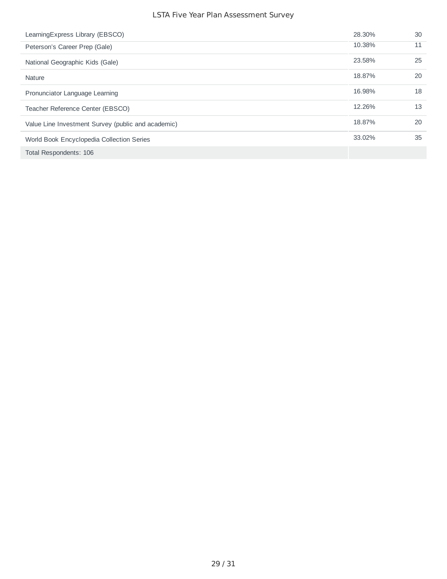| Learning Express Library (EBSCO)                   | 28.30% | 30 |
|----------------------------------------------------|--------|----|
| Peterson's Career Prep (Gale)                      | 10.38% | 11 |
| National Geographic Kids (Gale)                    | 23.58% | 25 |
| Nature                                             | 18.87% | 20 |
| Pronunciator Language Learning                     | 16.98% | 18 |
| Teacher Reference Center (EBSCO)                   | 12.26% | 13 |
| Value Line Investment Survey (public and academic) | 18.87% | 20 |
| World Book Encyclopedia Collection Series          | 33.02% | 35 |
| Total Respondents: 106                             |        |    |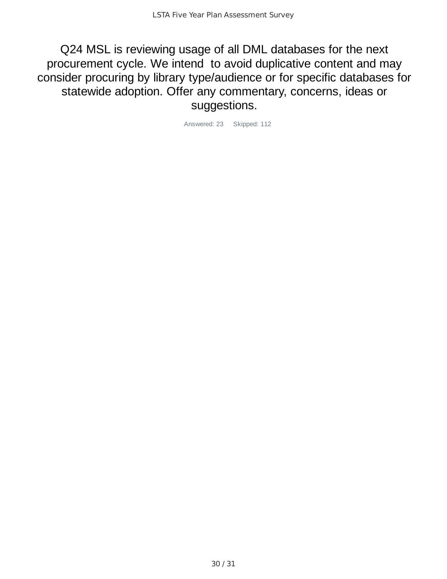Q24 MSL is reviewing usage of all DML databases for the next procurement cycle. We intend to avoid duplicative content and may consider procuring by library type/audience or for specific databases for statewide adoption. Offer any commentary, concerns, ideas or suggestions.

Answered: 23 Skipped: 112